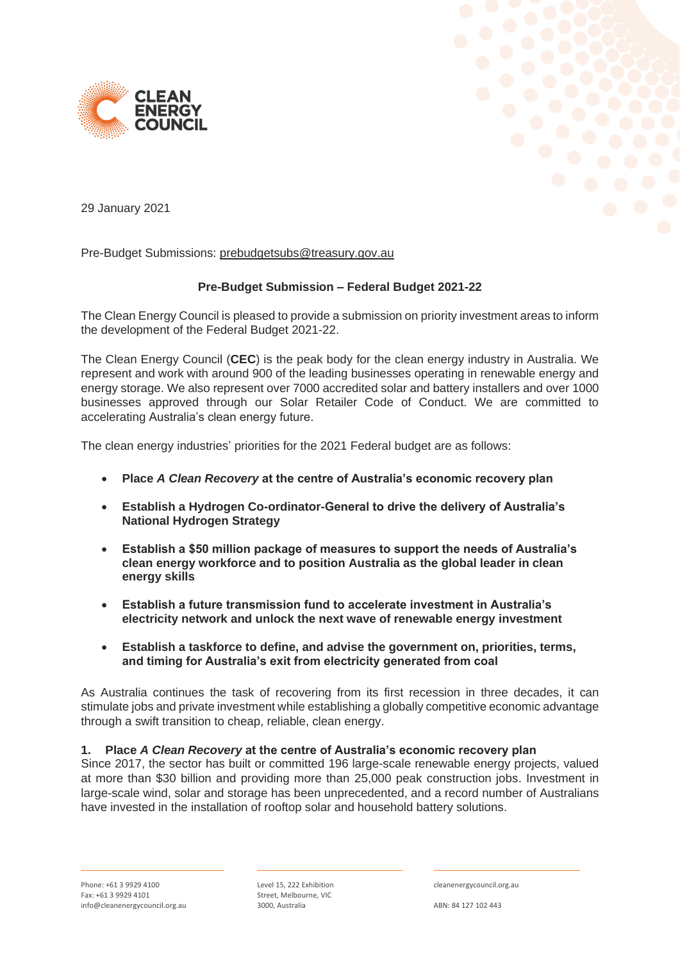



29 January 2021

Pre-Budget Submissions: [prebudgetsubs@treasury.gov.au](mailto:prebudgetsubs@treasury.gov.au)

# **Pre-Budget Submission – Federal Budget 2021-22**

The Clean Energy Council is pleased to provide a submission on priority investment areas to inform the development of the Federal Budget 2021-22.

The Clean Energy Council (**CEC**) is the peak body for the clean energy industry in Australia. We represent and work with around 900 of the leading businesses operating in renewable energy and energy storage. We also represent over 7000 accredited solar and battery installers and over 1000 businesses approved through our Solar Retailer Code of Conduct. We are committed to accelerating Australia's clean energy future.

The clean energy industries' priorities for the 2021 Federal budget are as follows:

- **Place** *A Clean Recovery* **at the centre of Australia's economic recovery plan**
- **Establish a Hydrogen Co-ordinator-General to drive the delivery of Australia's National Hydrogen Strategy**
- **Establish a \$50 million package of measures to support the needs of Australia's clean energy workforce and to position Australia as the global leader in clean energy skills**
- **Establish a future transmission fund to accelerate investment in Australia's electricity network and unlock the next wave of renewable energy investment**
- **Establish a taskforce to define, and advise the government on, priorities, terms, and timing for Australia's exit from electricity generated from coal**

As Australia continues the task of recovering from its first recession in three decades, it can stimulate jobs and private investment while establishing a globally competitive economic advantage through a swift transition to cheap, reliable, clean energy.

# **1. Place** *A Clean Recovery* **at the centre of Australia's economic recovery plan**

Since 2017, the sector has built or committed 196 large-scale renewable energy projects, valued at more than \$30 billion and providing more than 25,000 peak construction jobs. Investment in large-scale wind, solar and storage has been unprecedented, and a record number of Australians have invested in the installation of rooftop solar and household battery solutions.

Level 15, 222 Exhibition Street, Melbourne, VIC 3000, Australia

cleanenergycouncil.org.au

ABN: 84 127 102 443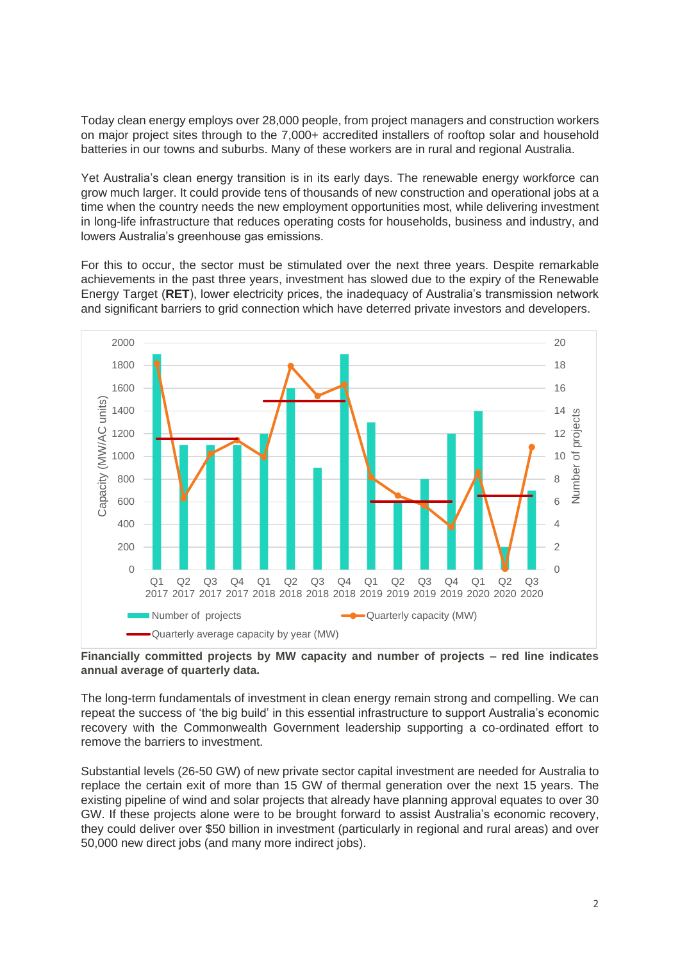Today clean energy employs over 28,000 people, from project managers and construction workers on major project sites through to the 7,000+ accredited installers of rooftop solar and household batteries in our towns and suburbs. Many of these workers are in rural and regional Australia.

Yet Australia's clean energy transition is in its early days. The renewable energy workforce can grow much larger. It could provide tens of thousands of new construction and operational jobs at a time when the country needs the new employment opportunities most, while delivering investment in long-life infrastructure that reduces operating costs for households, business and industry, and lowers Australia's greenhouse gas emissions.

For this to occur, the sector must be stimulated over the next three years. Despite remarkable achievements in the past three years, investment has slowed due to the expiry of the Renewable Energy Target (**RET**), lower electricity prices, the inadequacy of Australia's transmission network and significant barriers to grid connection which have deterred private investors and developers.



**Financially committed projects by MW capacity and number of projects – red line indicates annual average of quarterly data.**

The long-term fundamentals of investment in clean energy remain strong and compelling. We can repeat the success of 'the big build' in this essential infrastructure to support Australia's economic recovery with the Commonwealth Government leadership supporting a co-ordinated effort to remove the barriers to investment.

Substantial levels (26-50 GW) of new private sector capital investment are needed for Australia to replace the certain exit of more than 15 GW of thermal generation over the next 15 years. The existing pipeline of wind and solar projects that already have planning approval equates to over 30 GW. If these projects alone were to be brought forward to assist Australia's economic recovery, they could deliver over \$50 billion in investment (particularly in regional and rural areas) and over 50,000 new direct jobs (and many more indirect jobs).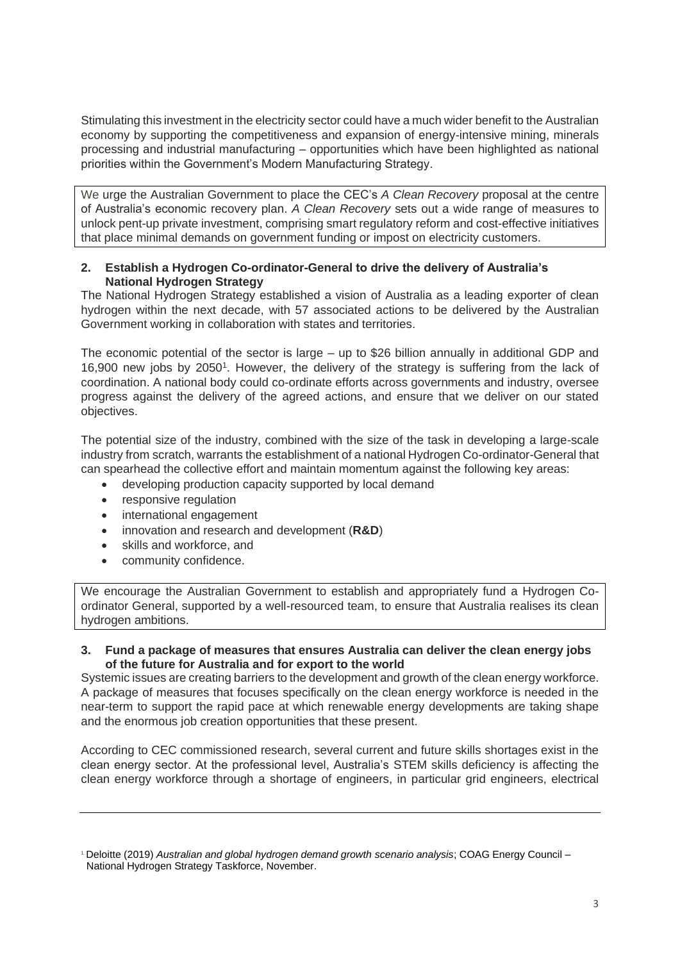Stimulating this investment in the electricity sector could have a much wider benefit to the Australian economy by supporting the competitiveness and expansion of energy-intensive mining, minerals processing and industrial manufacturing – opportunities which have been highlighted as national priorities within the Government's Modern Manufacturing Strategy.

We urge the Australian Government to place the CEC's *A Clean Recovery* proposal at the centre of Australia's economic recovery plan. *[A Clean Recovery](https://assets.cleanenergycouncil.org.au/documents/advocacy-initiatives/A-Clean-Recovery.pdf)* sets out a wide range of measures to unlock pent-up private investment, comprising smart regulatory reform and cost-effective initiatives that place minimal demands on government funding or impost on electricity customers.

## **2. Establish a Hydrogen Co-ordinator-General to drive the delivery of Australia's National Hydrogen Strategy**

The National Hydrogen Strategy established a vision of Australia as a leading exporter of clean hydrogen within the next decade, with 57 associated actions to be delivered by the Australian Government working in collaboration with states and territories.

The economic potential of the sector is large – up to \$26 billion annually in additional GDP and 16,900 new jobs by 2050<sup>1</sup>. However, the delivery of the strategy is suffering from the lack of coordination. A national body could co-ordinate efforts across governments and industry, oversee progress against the delivery of the agreed actions, and ensure that we deliver on our stated objectives.

The potential size of the industry, combined with the size of the task in developing a large-scale industry from scratch, warrants the establishment of a national Hydrogen Co-ordinator-General that can spearhead the collective effort and maintain momentum against the following key areas:

- developing production capacity supported by local demand
- responsive regulation
- international engagement
- innovation and research and development (**R&D**)
- skills and workforce, and
- community confidence.

We encourage the Australian Government to establish and appropriately fund a Hydrogen Coordinator General, supported by a well-resourced team, to ensure that Australia realises its clean hydrogen ambitions.

**3. Fund a package of measures that ensures Australia can deliver the clean energy jobs of the future for Australia and for export to the world**

Systemic issues are creating barriers to the development and growth of the clean energy workforce. A package of measures that focuses specifically on the clean energy workforce is needed in the near-term to support the rapid pace at which renewable energy developments are taking shape and the enormous job creation opportunities that these present.

According to CEC commissioned research, several current and future skills shortages exist in the clean energy sector. At the professional level, Australia's STEM skills deficiency is affecting the clean energy workforce through a shortage of engineers, in particular grid engineers, electrical

<sup>1</sup> Deloitte (2019) *Australian and global hydrogen demand growth scenario analysis*; COAG Energy Council – National Hydrogen Strategy Taskforce, November.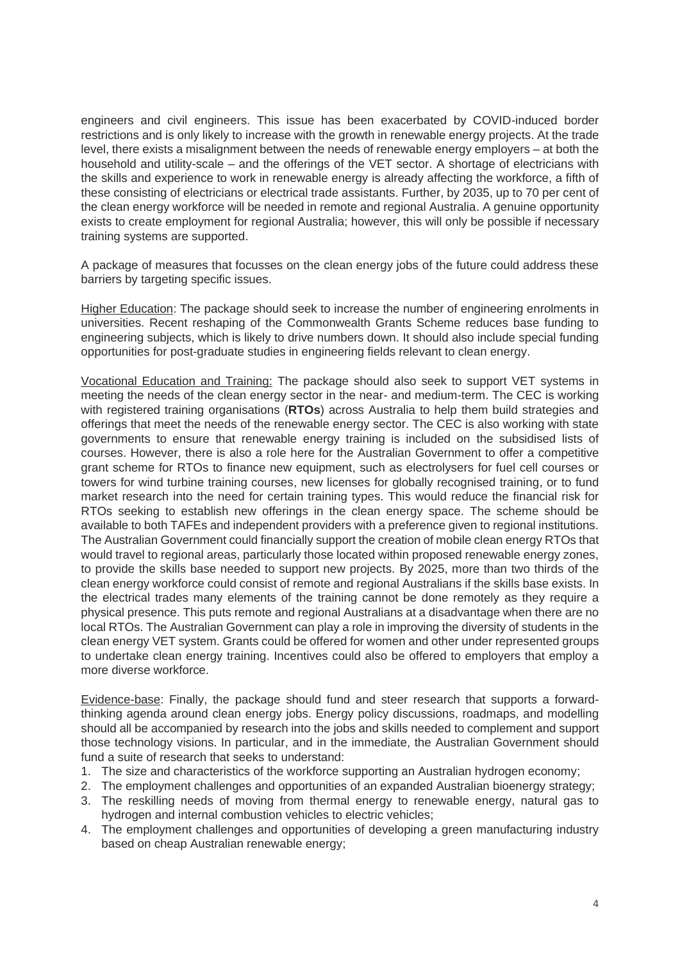engineers and civil engineers. This issue has been exacerbated by COVID-induced border restrictions and is only likely to increase with the growth in renewable energy projects. At the trade level, there exists a misalignment between the needs of renewable energy employers – at both the household and utility-scale – and the offerings of the VET sector. A shortage of electricians with the skills and experience to work in renewable energy is already affecting the workforce, a fifth of these consisting of electricians or electrical trade assistants. Further, by 2035, up to 70 per cent of the clean energy workforce will be needed in remote and regional Australia. A genuine opportunity exists to create employment for regional Australia; however, this will only be possible if necessary training systems are supported.

A package of measures that focusses on the clean energy jobs of the future could address these barriers by targeting specific issues.

Higher Education: The package should seek to increase the number of engineering enrolments in universities. Recent reshaping of the Commonwealth Grants Scheme reduces base funding to engineering subjects, which is likely to drive numbers down. It should also include special funding opportunities for post-graduate studies in engineering fields relevant to clean energy.

Vocational Education and Training: The package should also seek to support VET systems in meeting the needs of the clean energy sector in the near- and medium-term. The CEC is working with registered training organisations (**RTOs**) across Australia to help them build strategies and offerings that meet the needs of the renewable energy sector. The CEC is also working with state governments to ensure that renewable energy training is included on the subsidised lists of courses. However, there is also a role here for the Australian Government to offer a competitive grant scheme for RTOs to finance new equipment, such as electrolysers for fuel cell courses or towers for wind turbine training courses, new licenses for globally recognised training, or to fund market research into the need for certain training types. This would reduce the financial risk for RTOs seeking to establish new offerings in the clean energy space. The scheme should be available to both TAFEs and independent providers with a preference given to regional institutions. The Australian Government could financially support the creation of mobile clean energy RTOs that would travel to regional areas, particularly those located within proposed renewable energy zones, to provide the skills base needed to support new projects. By 2025, more than two thirds of the clean energy workforce could consist of remote and regional Australians if the skills base exists. In the electrical trades many elements of the training cannot be done remotely as they require a physical presence. This puts remote and regional Australians at a disadvantage when there are no local RTOs. The Australian Government can play a role in improving the diversity of students in the clean energy VET system. Grants could be offered for women and other under represented groups to undertake clean energy training. Incentives could also be offered to employers that employ a more diverse workforce.

Evidence-base: Finally, the package should fund and steer research that supports a forwardthinking agenda around clean energy jobs. Energy policy discussions, roadmaps, and modelling should all be accompanied by research into the jobs and skills needed to complement and support those technology visions. In particular, and in the immediate, the Australian Government should fund a suite of research that seeks to understand:

- 1. The size and characteristics of the workforce supporting an Australian hydrogen economy;
- 2. The employment challenges and opportunities of an expanded Australian bioenergy strategy;
- 3. The reskilling needs of moving from thermal energy to renewable energy, natural gas to hydrogen and internal combustion vehicles to electric vehicles;
- 4. The employment challenges and opportunities of developing a green manufacturing industry based on cheap Australian renewable energy;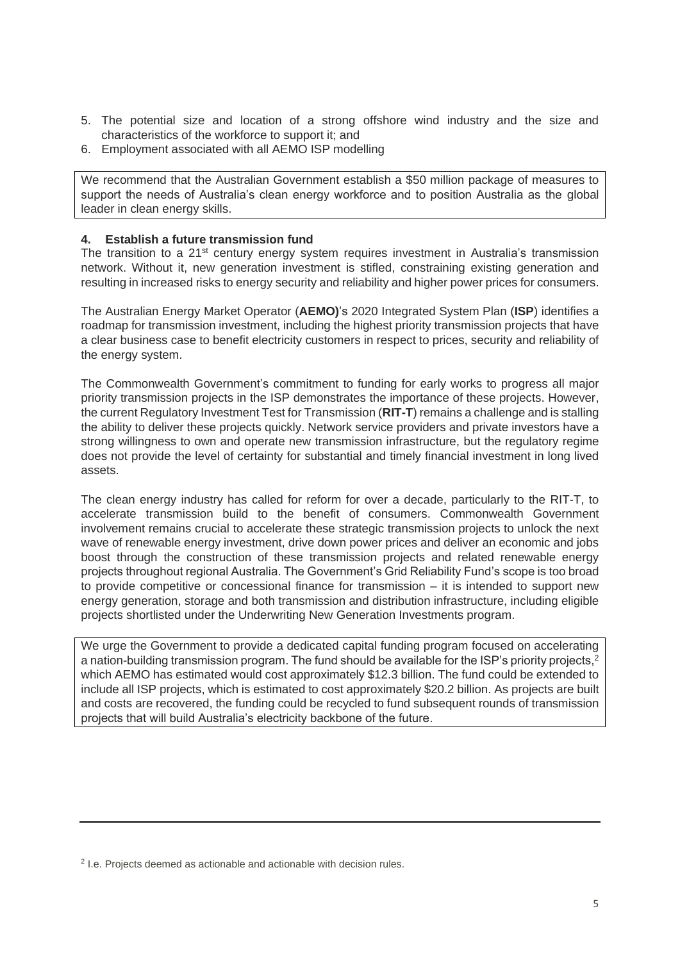- 5. The potential size and location of a strong offshore wind industry and the size and characteristics of the workforce to support it; and
- 6. Employment associated with all AEMO ISP modelling

We recommend that the Australian Government establish a \$50 million package of measures to support the needs of Australia's clean energy workforce and to position Australia as the global leader in clean energy skills.

# **4. Establish a future transmission fund**

The transition to a  $21^{st}$  century energy system requires investment in Australia's transmission network. Without it, new generation investment is stifled, constraining existing generation and resulting in increased risks to energy security and reliability and higher power prices for consumers.

The Australian Energy Market Operator (**AEMO)**'s 2020 Integrated System Plan (**ISP**) identifies a roadmap for transmission investment, including the highest priority transmission projects that have a clear business case to benefit electricity customers in respect to prices, security and reliability of the energy system.

The Commonwealth Government's commitment to funding for early works to progress all major priority transmission projects in the ISP demonstrates the importance of these projects. However, the current Regulatory Investment Test for Transmission (**RIT-T**) remains a challenge and is stalling the ability to deliver these projects quickly. Network service providers and private investors have a strong willingness to own and operate new transmission infrastructure, but the regulatory regime does not provide the level of certainty for substantial and timely financial investment in long lived assets.

The clean energy industry has called for reform for over a decade, particularly to the RIT-T, to accelerate transmission build to the benefit of consumers. Commonwealth Government involvement remains crucial to accelerate these strategic transmission projects to unlock the next wave of renewable energy investment, drive down power prices and deliver an economic and jobs boost through the construction of these transmission projects and related renewable energy projects throughout regional Australia. The Government's Grid Reliability Fund's scope is too broad to provide competitive or concessional finance for transmission – it is intended to support new energy generation, storage and both transmission and distribution infrastructure, including eligible projects shortlisted under the Underwriting New Generation Investments program.

We urge the Government to provide a dedicated capital funding program focused on accelerating a nation-building transmission program. The fund should be available for the ISP's priority projects,<sup>2</sup> which AEMO has estimated would cost approximately \$12.3 billion. The fund could be extended to include all ISP projects, which is estimated to cost approximately \$20.2 billion. As projects are built and costs are recovered, the funding could be recycled to fund subsequent rounds of transmission projects that will build Australia's electricity backbone of the future.

<sup>&</sup>lt;sup>2</sup> I.e. Projects deemed as actionable and actionable with decision rules.